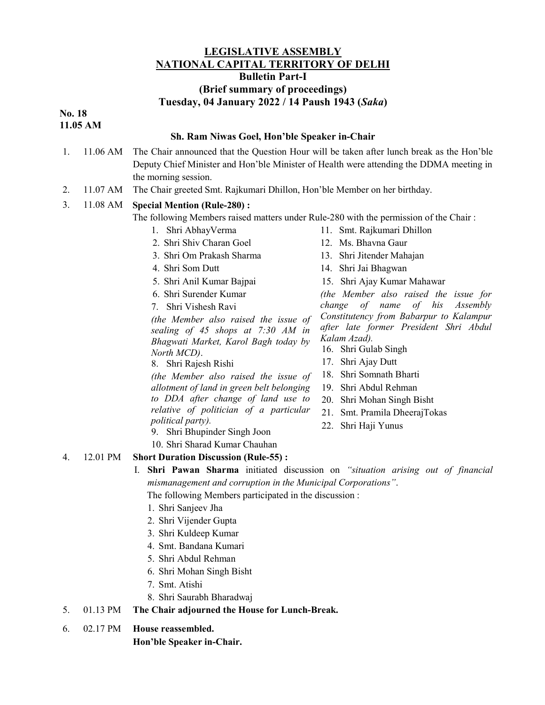## LEGISLATIVE ASSEMBLY NATIONAL CAPITAL TERRITORY OF DELHI Bulletin Part-I (Brief summary of proceedings)

# Tuesday, 04 January 2022 / 14 Paush 1943 (Saka)

No. 18 11.05 AM

#### Sh. Ram Niwas Goel, Hon'ble Speaker in-Chair

- 1. 11.06 AM The Chair announced that the Question Hour will be taken after lunch break as the Hon'ble Deputy Chief Minister and Hon'ble Minister of Health were attending the DDMA meeting in the morning session.
- 2. 11.07 AM The Chair greeted Smt. Rajkumari Dhillon, Hon'ble Member on her birthday.

## 3. 11.08 AM Special Mention (Rule-280) :

The following Members raised matters under Rule-280 with the permission of the Chair :

- 1. Shri AbhayVerma
- 2. Shri Shiv Charan Goel
- 3. Shri Om Prakash Sharma
- 4. Shri Som Dutt
- 5. Shri Anil Kumar Bajpai
- 6. Shri Surender Kumar
- 7. Shri Vishesh Ravi

(the Member also raised the issue of sealing of 45 shops at 7:30 AM in Bhagwati Market, Karol Bagh today by North MCD).

8. Shri Rajesh Rishi

(the Member also raised the issue of allotment of land in green belt belonging to DDA after change of land use to relative of politician of a particular political party).

- 9. Shri Bhupinder Singh Joon
- 10. Shri Sharad Kumar Chauhan
- 4. 12.01 PM Short Duration Discussion (Rule-55) :
	- I. Shri Pawan Sharma initiated discussion on "situation arising out of financial mismanagement and corruption in the Municipal Corporations".

The following Members participated in the discussion :

- 1. Shri Sanjeev Jha
- 2. Shri Vijender Gupta
- 3. Shri Kuldeep Kumar
- 4. Smt. Bandana Kumari
- 5. Shri Abdul Rehman
- 6. Shri Mohan Singh Bisht
- 7. Smt. Atishi
- 8. Shri Saurabh Bharadwaj

## 5. 01.13 PM The Chair adjourned the House for Lunch-Break.

6. 02.17 PM House reassembled.

Hon'ble Speaker in-Chair.

- 11. Smt. Rajkumari Dhillon
- 12. Ms. Bhavna Gaur
- 13. Shri Jitender Mahajan
- 14. Shri Jai Bhagwan
- 15. Shri Ajay Kumar Mahawar

(the Member also raised the issue for change of name of his Assembly Constitutency from Babarpur to Kalampur after late former President Shri Abdul Kalam Azad).

- 16. Shri Gulab Singh
- 17. Shri Ajay Dutt
- 18. Shri Somnath Bharti
- 19. Shri Abdul Rehman
- 20. Shri Mohan Singh Bisht
- 21. Smt. Pramila DheerajTokas
- 22. Shri Haji Yunus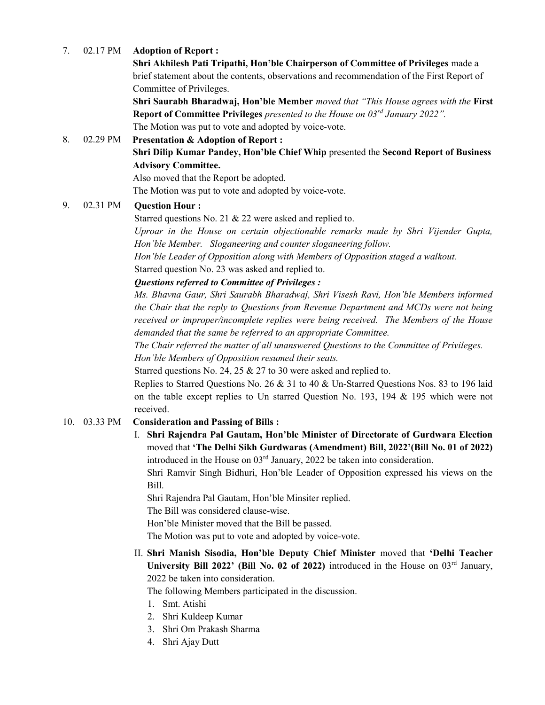### 7. 02.17 PM Adoption of Report :

Shri Akhilesh Pati Tripathi, Hon'ble Chairperson of Committee of Privileges made a brief statement about the contents, observations and recommendation of the First Report of Committee of Privileges.

Shri Saurabh Bharadwaj, Hon'ble Member moved that "This House agrees with the First Report of Committee Privileges presented to the House on 03<sup>rd</sup> January 2022". The Motion was put to vote and adopted by voice-vote.

8. 02.29 PM Presentation & Adoption of Report : Shri Dilip Kumar Pandey, Hon'ble Chief Whip presented the Second Report of Business Advisory Committee.

Also moved that the Report be adopted.

The Motion was put to vote and adopted by voice-vote.

### 9. 02.31 PM Question Hour :

Starred questions No. 21 & 22 were asked and replied to. Uproar in the House on certain objectionable remarks made by Shri Vijender Gupta, Hon'ble Member. Sloganeering and counter sloganeering follow.

Hon'ble Leader of Opposition along with Members of Opposition staged a walkout. Starred question No. 23 was asked and replied to.

### Questions referred to Committee of Privileges :

Ms. Bhavna Gaur, Shri Saurabh Bharadwaj, Shri Visesh Ravi, Hon'ble Members informed the Chair that the reply to Questions from Revenue Department and MCDs were not being received or improper/incomplete replies were being received. The Members of the House demanded that the same be referred to an appropriate Committee.

The Chair referred the matter of all unanswered Questions to the Committee of Privileges. Hon'ble Members of Opposition resumed their seats.

Starred questions No. 24, 25 & 27 to 30 were asked and replied to.

Replies to Starred Questions No. 26 & 31 to 40 & Un-Starred Questions Nos. 83 to 196 laid on the table except replies to Un starred Question No. 193, 194 & 195 which were not received.

#### 10. 03.33 PM Consideration and Passing of Bills :

I. Shri Rajendra Pal Gautam, Hon'ble Minister of Directorate of Gurdwara Election moved that 'The Delhi Sikh Gurdwaras (Amendment) Bill, 2022'(Bill No. 01 of 2022) introduced in the House on  $03<sup>rd</sup>$  January, 2022 be taken into consideration.

Shri Ramvir Singh Bidhuri, Hon'ble Leader of Opposition expressed his views on the Bill.

Shri Rajendra Pal Gautam, Hon'ble Minsiter replied.

The Bill was considered clause-wise.

Hon'ble Minister moved that the Bill be passed.

The Motion was put to vote and adopted by voice-vote.

## II. Shri Manish Sisodia, Hon'ble Deputy Chief Minister moved that 'Delhi Teacher University Bill 2022' (Bill No. 02 of 2022) introduced in the House on  $03<sup>rd</sup>$  January, 2022 be taken into consideration.

The following Members participated in the discussion.

- 1. Smt. Atishi
- 2. Shri Kuldeep Kumar
- 3. Shri Om Prakash Sharma
- 4. Shri Ajay Dutt